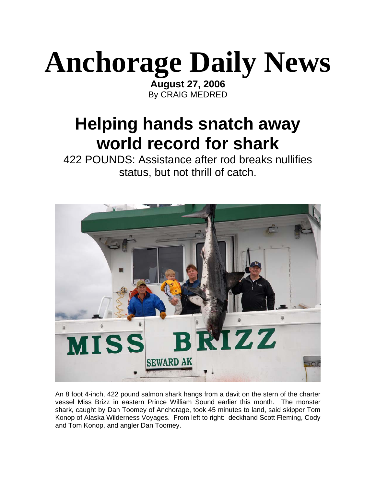## **Anchorage Daily News**

**August 27, 2006** By CRAIG MEDRED

## **Helping hands snatch away world record for shark**

422 POUNDS: Assistance after rod breaks nullifies status, but not thrill of catch.



An 8 foot 4-inch, 422 pound salmon shark hangs from a davit on the stern of the charter vessel Miss Brizz in eastern Prince William Sound earlier this month. The monster shark, caught by Dan Toomey of Anchorage, took 45 minutes to land, said skipper Tom Konop of Alaska Wilderness Voyages. From left to right: deckhand Scott Fleming, Cody and Tom Konop, and angler Dan Toomey.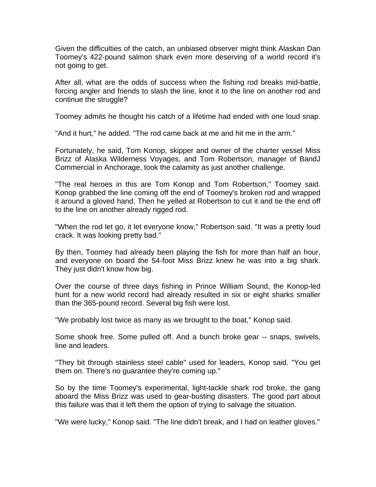Given the difficulties of the catch, an unbiased observer might think Alaskan Dan Toomey's 422-pound salmon shark even more deserving of a world record it's not going to get.

After all, what are the odds of success when the fishing rod breaks mid-battle, forcing angler and friends to slash the line, knot it to the line on another rod and continue the struggle?

Toomey admits he thought his catch of a lifetime had ended with one loud snap.

"And it hurt," he added. "The rod came back at me and hit me in the arm."

Fortunately, he said, Tom Konop, skipper and owner of the charter vessel Miss Brizz of Alaska Wilderness Voyages, and Tom Robertson, manager of BandJ Commercial in Anchorage, took the calamity as just another challenge.

"The real heroes in this are Tom Konop and Tom Robertson," Toomey said. Konop grabbed the line coming off the end of Toomey's broken rod and wrapped it around a gloved hand. Then he yelled at Robertson to cut it and tie the end off to the line on another already rigged rod.

"When the rod let go, it let everyone know," Robertson said. "It was a pretty loud crack. It was looking pretty bad."

By then, Toomey had already been playing the fish for more than half an hour, and everyone on board the 54-foot Miss Brizz knew he was into a big shark. They just didn't know how big.

Over the course of three days fishing in Prince William Sound, the Konop-led hunt for a new world record had already resulted in six or eight sharks smaller than the 365-pound record. Several big fish were lost.

"We probably lost twice as many as we brought to the boat," Konop said.

Some shook free. Some pulled off. And a bunch broke gear -- snaps, swivels, line and leaders.

"They bit through stainless steel cable" used for leaders, Konop said. "You get them on. There's no guarantee they're coming up."

So by the time Toomey's experimental, light-tackle shark rod broke, the gang aboard the Miss Brizz was used to gear-busting disasters. The good part about this failure was that it left them the option of trying to salvage the situation.

"We were lucky," Konop said. "The line didn't break, and I had on leather gloves."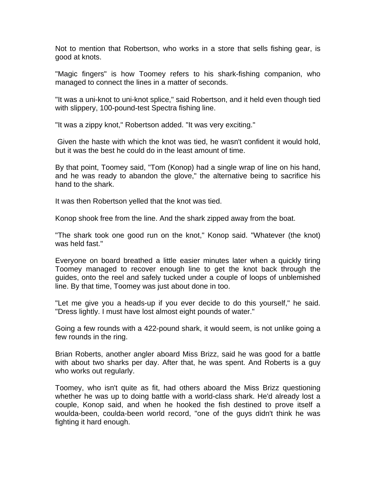Not to mention that Robertson, who works in a store that sells fishing gear, is good at knots.

"Magic fingers" is how Toomey refers to his shark-fishing companion, who managed to connect the lines in a matter of seconds.

"It was a uni-knot to uni-knot splice," said Robertson, and it held even though tied with slippery, 100-pound-test Spectra fishing line.

"It was a zippy knot," Robertson added. "It was very exciting."

 Given the haste with which the knot was tied, he wasn't confident it would hold, but it was the best he could do in the least amount of time.

By that point, Toomey said, "Tom (Konop) had a single wrap of line on his hand, and he was ready to abandon the glove," the alternative being to sacrifice his hand to the shark.

It was then Robertson yelled that the knot was tied.

Konop shook free from the line. And the shark zipped away from the boat.

"The shark took one good run on the knot," Konop said. "Whatever (the knot) was held fast."

Everyone on board breathed a little easier minutes later when a quickly tiring Toomey managed to recover enough line to get the knot back through the guides, onto the reel and safely tucked under a couple of loops of unblemished line. By that time, Toomey was just about done in too.

"Let me give you a heads-up if you ever decide to do this yourself," he said. "Dress lightly. I must have lost almost eight pounds of water."

Going a few rounds with a 422-pound shark, it would seem, is not unlike going a few rounds in the ring.

Brian Roberts, another angler aboard Miss Brizz, said he was good for a battle with about two sharks per day. After that, he was spent. And Roberts is a guy who works out regularly.

Toomey, who isn't quite as fit, had others aboard the Miss Brizz questioning whether he was up to doing battle with a world-class shark. He'd already lost a couple, Konop said, and when he hooked the fish destined to prove itself a woulda-been, coulda-been world record, "one of the guys didn't think he was fighting it hard enough.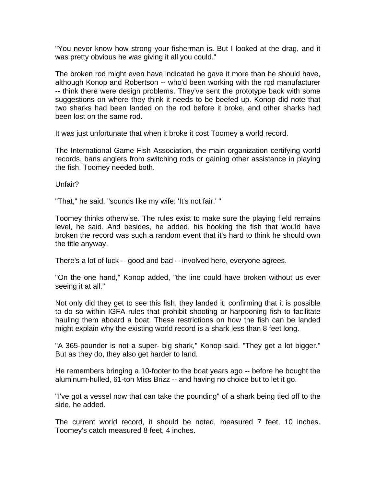"You never know how strong your fisherman is. But I looked at the drag, and it was pretty obvious he was giving it all you could."

The broken rod might even have indicated he gave it more than he should have, although Konop and Robertson -- who'd been working with the rod manufacturer -- think there were design problems. They've sent the prototype back with some suggestions on where they think it needs to be beefed up. Konop did note that two sharks had been landed on the rod before it broke, and other sharks had been lost on the same rod.

It was just unfortunate that when it broke it cost Toomey a world record.

The International Game Fish Association, the main organization certifying world records, bans anglers from switching rods or gaining other assistance in playing the fish. Toomey needed both.

Unfair?

"That," he said, "sounds like my wife: 'It's not fair.' "

Toomey thinks otherwise. The rules exist to make sure the playing field remains level, he said. And besides, he added, his hooking the fish that would have broken the record was such a random event that it's hard to think he should own the title anyway.

There's a lot of luck -- good and bad -- involved here, everyone agrees.

"On the one hand," Konop added, "the line could have broken without us ever seeing it at all."

Not only did they get to see this fish, they landed it, confirming that it is possible to do so within IGFA rules that prohibit shooting or harpooning fish to facilitate hauling them aboard a boat. These restrictions on how the fish can be landed might explain why the existing world record is a shark less than 8 feet long.

"A 365-pounder is not a super- big shark," Konop said. "They get a lot bigger." But as they do, they also get harder to land.

He remembers bringing a 10-footer to the boat years ago -- before he bought the aluminum-hulled, 61-ton Miss Brizz -- and having no choice but to let it go.

"I've got a vessel now that can take the pounding" of a shark being tied off to the side, he added.

The current world record, it should be noted, measured 7 feet, 10 inches. Toomey's catch measured 8 feet, 4 inches.